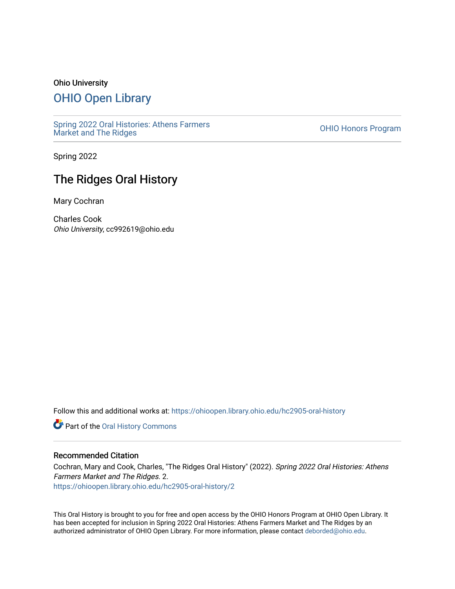#### Ohio University

## [OHIO Open Library](https://ohioopen.library.ohio.edu/)

[Spring 2022 Oral Histories: Athens Farmers](https://ohioopen.library.ohio.edu/hc2905-oral-history)  Spring 2022 Oral Histories. Athens Farmers<br>[Market and The Ridges](https://ohioopen.library.ohio.edu/hc2905-oral-history)

Spring 2022

# The Ridges Oral History

Mary Cochran

Charles Cook Ohio University, cc992619@ohio.edu

Follow this and additional works at: [https://ohioopen.library.ohio.edu/hc2905-oral-history](https://ohioopen.library.ohio.edu/hc2905-oral-history?utm_source=ohioopen.library.ohio.edu%2Fhc2905-oral-history%2F2&utm_medium=PDF&utm_campaign=PDFCoverPages) 

**Part of the Oral History Commons** 

#### Recommended Citation

Cochran, Mary and Cook, Charles, "The Ridges Oral History" (2022). Spring 2022 Oral Histories: Athens Farmers Market and The Ridges. 2. [https://ohioopen.library.ohio.edu/hc2905-oral-history/2](https://ohioopen.library.ohio.edu/hc2905-oral-history/2?utm_source=ohioopen.library.ohio.edu%2Fhc2905-oral-history%2F2&utm_medium=PDF&utm_campaign=PDFCoverPages) 

This Oral History is brought to you for free and open access by the OHIO Honors Program at OHIO Open Library. It has been accepted for inclusion in Spring 2022 Oral Histories: Athens Farmers Market and The Ridges by an authorized administrator of OHIO Open Library. For more information, please contact [deborded@ohio.edu](mailto:deborded@ohio.edu).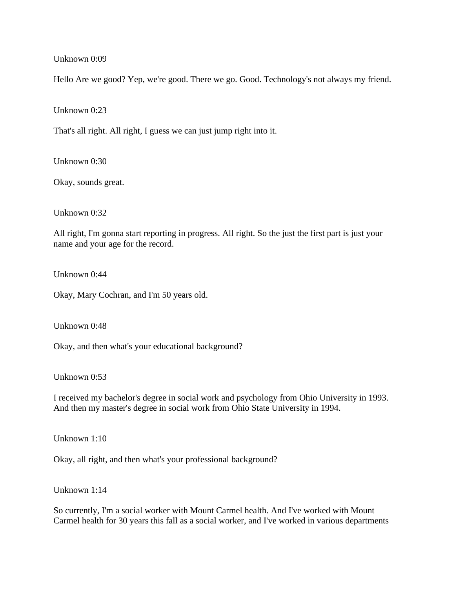## Unknown 0:09

Hello Are we good? Yep, we're good. There we go. Good. Technology's not always my friend.

Unknown 0:23

That's all right. All right, I guess we can just jump right into it.

Unknown 0:30

Okay, sounds great.

Unknown 0:32

All right, I'm gonna start reporting in progress. All right. So the just the first part is just your name and your age for the record.

Unknown 0:44

Okay, Mary Cochran, and I'm 50 years old.

Unknown 0:48

Okay, and then what's your educational background?

Unknown 0:53

I received my bachelor's degree in social work and psychology from Ohio University in 1993. And then my master's degree in social work from Ohio State University in 1994.

Unknown 1:10

Okay, all right, and then what's your professional background?

Unknown 1:14

So currently, I'm a social worker with Mount Carmel health. And I've worked with Mount Carmel health for 30 years this fall as a social worker, and I've worked in various departments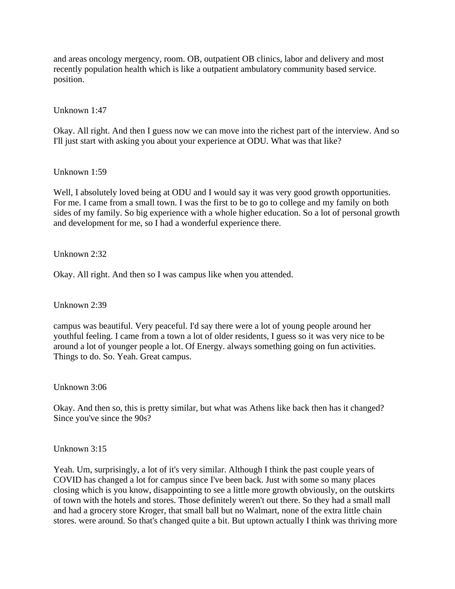and areas oncology mergency, room. OB, outpatient OB clinics, labor and delivery and most recently population health which is like a outpatient ambulatory community based service. position.

## Unknown 1:47

Okay. All right. And then I guess now we can move into the richest part of the interview. And so I'll just start with asking you about your experience at ODU. What was that like?

## Unknown 1:59

Well, I absolutely loved being at ODU and I would say it was very good growth opportunities. For me. I came from a small town. I was the first to be to go to college and my family on both sides of my family. So big experience with a whole higher education. So a lot of personal growth and development for me, so I had a wonderful experience there.

Unknown 2:32

Okay. All right. And then so I was campus like when you attended.

Unknown 2:39

campus was beautiful. Very peaceful. I'd say there were a lot of young people around her youthful feeling. I came from a town a lot of older residents, I guess so it was very nice to be around a lot of younger people a lot. Of Energy. always something going on fun activities. Things to do. So. Yeah. Great campus.

Unknown 3:06

Okay. And then so, this is pretty similar, but what was Athens like back then has it changed? Since you've since the 90s?

Unknown 3:15

Yeah. Um, surprisingly, a lot of it's very similar. Although I think the past couple years of COVID has changed a lot for campus since I've been back. Just with some so many places closing which is you know, disappointing to see a little more growth obviously, on the outskirts of town with the hotels and stores. Those definitely weren't out there. So they had a small mall and had a grocery store Kroger, that small ball but no Walmart, none of the extra little chain stores. were around. So that's changed quite a bit. But uptown actually I think was thriving more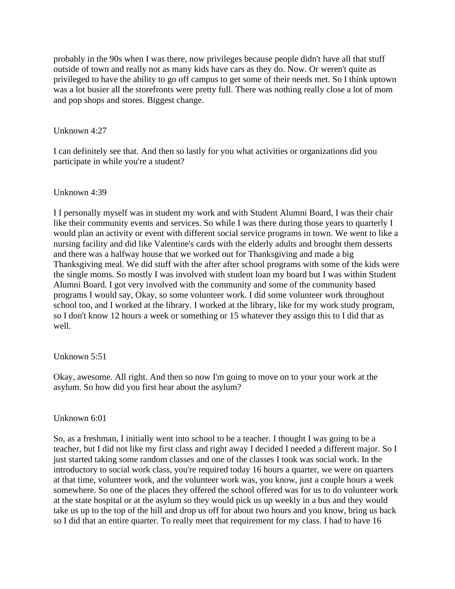probably in the 90s when I was there, now privileges because people didn't have all that stuff outside of town and really not as many kids have cars as they do. Now. Or weren't quite as privileged to have the ability to go off campus to get some of their needs met. So I think uptown was a lot busier all the storefronts were pretty full. There was nothing really close a lot of mom and pop shops and stores. Biggest change.

## Unknown 4:27

I can definitely see that. And then so lastly for you what activities or organizations did you participate in while you're a student?

## Unknown 4:39

I I personally myself was in student my work and with Student Alumni Board, I was their chair like their community events and services. So while I was there during those years to quarterly I would plan an activity or event with different social service programs in town. We went to like a nursing facility and did like Valentine's cards with the elderly adults and brought them desserts and there was a halfway house that we worked out for Thanksgiving and made a big Thanksgiving meal. We did stuff with the after after school programs with some of the kids were the single moms. So mostly I was involved with student loan my board but I was within Student Alumni Board. I got very involved with the community and some of the community based programs I would say, Okay, so some volunteer work. I did some volunteer work throughout school too, and I worked at the library. I worked at the library, like for my work study program, so I don't know 12 hours a week or something or 15 whatever they assign this to I did that as well.

## Unknown 5:51

Okay, awesome. All right. And then so now I'm going to move on to your your work at the asylum. So how did you first hear about the asylum?

## Unknown 6:01

So, as a freshman, I initially went into school to be a teacher. I thought I was going to be a teacher, but I did not like my first class and right away I decided I needed a different major. So I just started taking some random classes and one of the classes I took was social work. In the introductory to social work class, you're required today 16 hours a quarter, we were on quarters at that time, volunteer work, and the volunteer work was, you know, just a couple hours a week somewhere. So one of the places they offered the school offered was for us to do volunteer work at the state hospital or at the asylum so they would pick us up weekly in a bus and they would take us up to the top of the hill and drop us off for about two hours and you know, bring us back so I did that an entire quarter. To really meet that requirement for my class. I had to have 16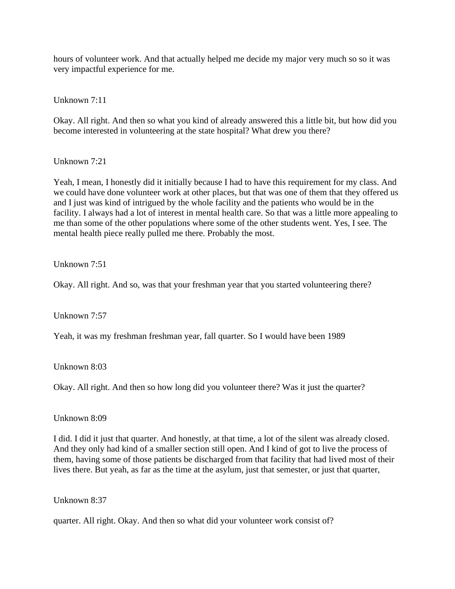hours of volunteer work. And that actually helped me decide my major very much so so it was very impactful experience for me.

Unknown 7:11

Okay. All right. And then so what you kind of already answered this a little bit, but how did you become interested in volunteering at the state hospital? What drew you there?

Unknown 7:21

Yeah, I mean, I honestly did it initially because I had to have this requirement for my class. And we could have done volunteer work at other places, but that was one of them that they offered us and I just was kind of intrigued by the whole facility and the patients who would be in the facility. I always had a lot of interest in mental health care. So that was a little more appealing to me than some of the other populations where some of the other students went. Yes, I see. The mental health piece really pulled me there. Probably the most.

Unknown 7:51

Okay. All right. And so, was that your freshman year that you started volunteering there?

Unknown 7:57

Yeah, it was my freshman freshman year, fall quarter. So I would have been 1989

Unknown 8:03

Okay. All right. And then so how long did you volunteer there? Was it just the quarter?

Unknown 8:09

I did. I did it just that quarter. And honestly, at that time, a lot of the silent was already closed. And they only had kind of a smaller section still open. And I kind of got to live the process of them, having some of those patients be discharged from that facility that had lived most of their lives there. But yeah, as far as the time at the asylum, just that semester, or just that quarter,

Unknown 8:37

quarter. All right. Okay. And then so what did your volunteer work consist of?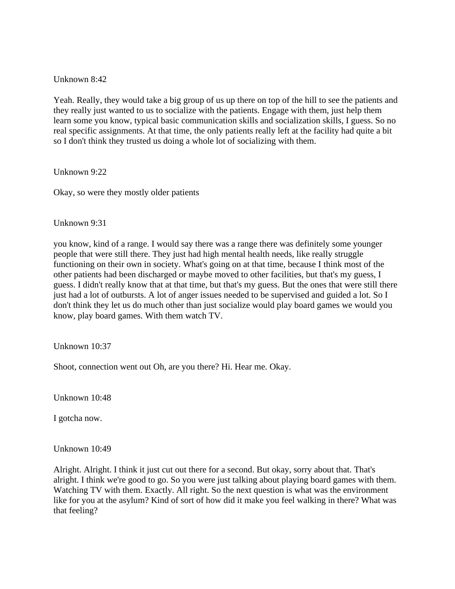Unknown 8:42

Yeah. Really, they would take a big group of us up there on top of the hill to see the patients and they really just wanted to us to socialize with the patients. Engage with them, just help them learn some you know, typical basic communication skills and socialization skills, I guess. So no real specific assignments. At that time, the only patients really left at the facility had quite a bit so I don't think they trusted us doing a whole lot of socializing with them.

Unknown 9:22

Okay, so were they mostly older patients

Unknown 9:31

you know, kind of a range. I would say there was a range there was definitely some younger people that were still there. They just had high mental health needs, like really struggle functioning on their own in society. What's going on at that time, because I think most of the other patients had been discharged or maybe moved to other facilities, but that's my guess, I guess. I didn't really know that at that time, but that's my guess. But the ones that were still there just had a lot of outbursts. A lot of anger issues needed to be supervised and guided a lot. So I don't think they let us do much other than just socialize would play board games we would you know, play board games. With them watch TV.

Unknown 10:37

Shoot, connection went out Oh, are you there? Hi. Hear me. Okay.

Unknown 10:48

I gotcha now.

Unknown 10:49

Alright. Alright. I think it just cut out there for a second. But okay, sorry about that. That's alright. I think we're good to go. So you were just talking about playing board games with them. Watching TV with them. Exactly. All right. So the next question is what was the environment like for you at the asylum? Kind of sort of how did it make you feel walking in there? What was that feeling?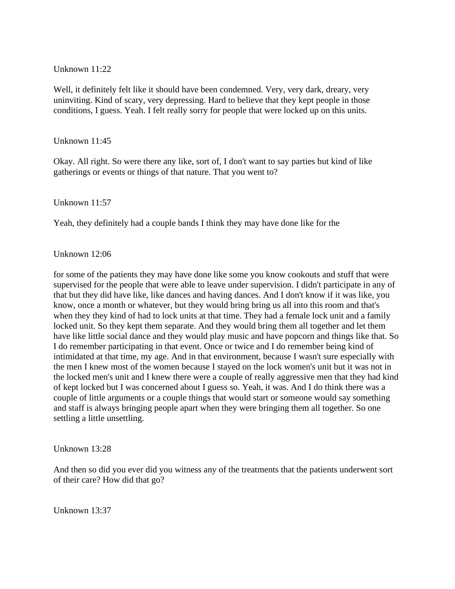## Unknown 11:22

Well, it definitely felt like it should have been condemned. Very, very dark, dreary, very uninviting. Kind of scary, very depressing. Hard to believe that they kept people in those conditions, I guess. Yeah. I felt really sorry for people that were locked up on this units.

#### Unknown 11:45

Okay. All right. So were there any like, sort of, I don't want to say parties but kind of like gatherings or events or things of that nature. That you went to?

#### Unknown 11:57

Yeah, they definitely had a couple bands I think they may have done like for the

#### Unknown 12:06

for some of the patients they may have done like some you know cookouts and stuff that were supervised for the people that were able to leave under supervision. I didn't participate in any of that but they did have like, like dances and having dances. And I don't know if it was like, you know, once a month or whatever, but they would bring bring us all into this room and that's when they they kind of had to lock units at that time. They had a female lock unit and a family locked unit. So they kept them separate. And they would bring them all together and let them have like little social dance and they would play music and have popcorn and things like that. So I do remember participating in that event. Once or twice and I do remember being kind of intimidated at that time, my age. And in that environment, because I wasn't sure especially with the men I knew most of the women because I stayed on the lock women's unit but it was not in the locked men's unit and I knew there were a couple of really aggressive men that they had kind of kept locked but I was concerned about I guess so. Yeah, it was. And I do think there was a couple of little arguments or a couple things that would start or someone would say something and staff is always bringing people apart when they were bringing them all together. So one settling a little unsettling.

#### Unknown 13:28

And then so did you ever did you witness any of the treatments that the patients underwent sort of their care? How did that go?

Unknown 13:37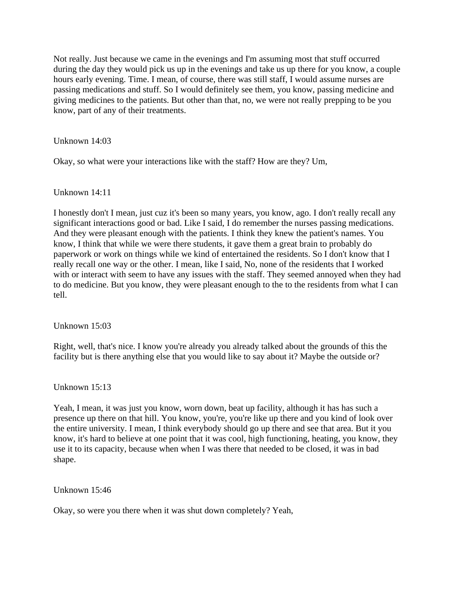Not really. Just because we came in the evenings and I'm assuming most that stuff occurred during the day they would pick us up in the evenings and take us up there for you know, a couple hours early evening. Time. I mean, of course, there was still staff, I would assume nurses are passing medications and stuff. So I would definitely see them, you know, passing medicine and giving medicines to the patients. But other than that, no, we were not really prepping to be you know, part of any of their treatments.

Unknown 14:03

Okay, so what were your interactions like with the staff? How are they? Um,

Unknown 14:11

I honestly don't I mean, just cuz it's been so many years, you know, ago. I don't really recall any significant interactions good or bad. Like I said, I do remember the nurses passing medications. And they were pleasant enough with the patients. I think they knew the patient's names. You know, I think that while we were there students, it gave them a great brain to probably do paperwork or work on things while we kind of entertained the residents. So I don't know that I really recall one way or the other. I mean, like I said, No, none of the residents that I worked with or interact with seem to have any issues with the staff. They seemed annoyed when they had to do medicine. But you know, they were pleasant enough to the to the residents from what I can tell.

Unknown 15:03

Right, well, that's nice. I know you're already you already talked about the grounds of this the facility but is there anything else that you would like to say about it? Maybe the outside or?

Unknown 15:13

Yeah, I mean, it was just you know, worn down, beat up facility, although it has has such a presence up there on that hill. You know, you're, you're like up there and you kind of look over the entire university. I mean, I think everybody should go up there and see that area. But it you know, it's hard to believe at one point that it was cool, high functioning, heating, you know, they use it to its capacity, because when when I was there that needed to be closed, it was in bad shape.

Unknown 15:46

Okay, so were you there when it was shut down completely? Yeah,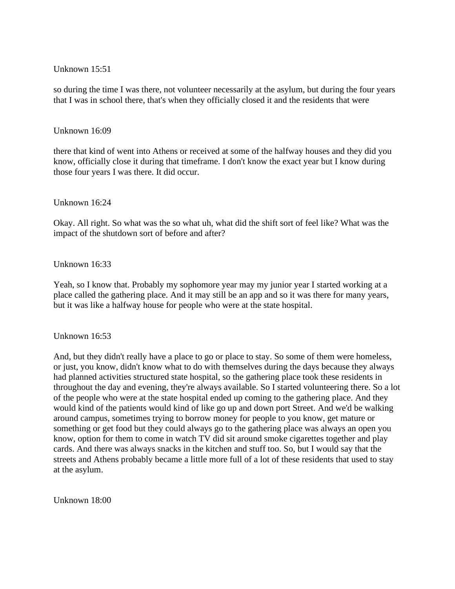## Unknown 15:51

so during the time I was there, not volunteer necessarily at the asylum, but during the four years that I was in school there, that's when they officially closed it and the residents that were

#### Unknown 16:09

there that kind of went into Athens or received at some of the halfway houses and they did you know, officially close it during that timeframe. I don't know the exact year but I know during those four years I was there. It did occur.

#### Unknown 16:24

Okay. All right. So what was the so what uh, what did the shift sort of feel like? What was the impact of the shutdown sort of before and after?

#### Unknown 16:33

Yeah, so I know that. Probably my sophomore year may my junior year I started working at a place called the gathering place. And it may still be an app and so it was there for many years, but it was like a halfway house for people who were at the state hospital.

Unknown 16:53

And, but they didn't really have a place to go or place to stay. So some of them were homeless, or just, you know, didn't know what to do with themselves during the days because they always had planned activities structured state hospital, so the gathering place took these residents in throughout the day and evening, they're always available. So I started volunteering there. So a lot of the people who were at the state hospital ended up coming to the gathering place. And they would kind of the patients would kind of like go up and down port Street. And we'd be walking around campus, sometimes trying to borrow money for people to you know, get mature or something or get food but they could always go to the gathering place was always an open you know, option for them to come in watch TV did sit around smoke cigarettes together and play cards. And there was always snacks in the kitchen and stuff too. So, but I would say that the streets and Athens probably became a little more full of a lot of these residents that used to stay at the asylum.

Unknown 18:00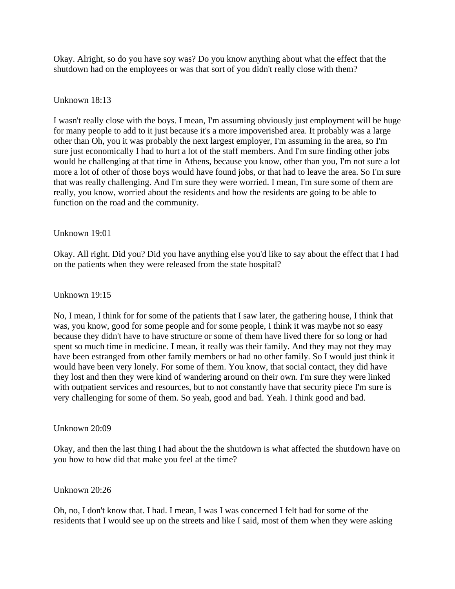Okay. Alright, so do you have soy was? Do you know anything about what the effect that the shutdown had on the employees or was that sort of you didn't really close with them?

## Unknown 18:13

I wasn't really close with the boys. I mean, I'm assuming obviously just employment will be huge for many people to add to it just because it's a more impoverished area. It probably was a large other than Oh, you it was probably the next largest employer, I'm assuming in the area, so I'm sure just economically I had to hurt a lot of the staff members. And I'm sure finding other jobs would be challenging at that time in Athens, because you know, other than you, I'm not sure a lot more a lot of other of those boys would have found jobs, or that had to leave the area. So I'm sure that was really challenging. And I'm sure they were worried. I mean, I'm sure some of them are really, you know, worried about the residents and how the residents are going to be able to function on the road and the community.

## Unknown 19:01

Okay. All right. Did you? Did you have anything else you'd like to say about the effect that I had on the patients when they were released from the state hospital?

## Unknown 19:15

No, I mean, I think for for some of the patients that I saw later, the gathering house, I think that was, you know, good for some people and for some people, I think it was maybe not so easy because they didn't have to have structure or some of them have lived there for so long or had spent so much time in medicine. I mean, it really was their family. And they may not they may have been estranged from other family members or had no other family. So I would just think it would have been very lonely. For some of them. You know, that social contact, they did have they lost and then they were kind of wandering around on their own. I'm sure they were linked with outpatient services and resources, but to not constantly have that security piece I'm sure is very challenging for some of them. So yeah, good and bad. Yeah. I think good and bad.

## Unknown 20:09

Okay, and then the last thing I had about the the shutdown is what affected the shutdown have on you how to how did that make you feel at the time?

#### Unknown 20:26

Oh, no, I don't know that. I had. I mean, I was I was concerned I felt bad for some of the residents that I would see up on the streets and like I said, most of them when they were asking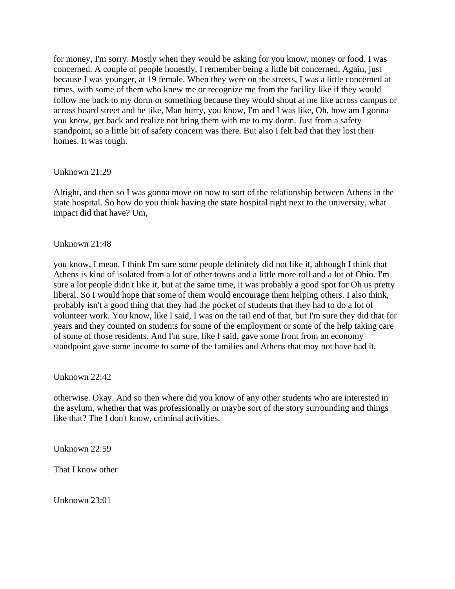for money, I'm sorry. Mostly when they would be asking for you know, money or food. I was concerned. A couple of people honestly, I remember being a little bit concerned. Again, just because I was younger, at 19 female. When they were on the streets, I was a little concerned at times, with some of them who knew me or recognize me from the facility like if they would follow me back to my dorm or something because they would shout at me like across campus or across board street and be like, Man hurry, you know, I'm and I was like, Oh, how am I gonna you know, get back and realize not bring them with me to my dorm. Just from a safety standpoint, so a little bit of safety concern was there. But also I felt bad that they lost their homes. It was tough.

## Unknown 21:29

Alright, and then so I was gonna move on now to sort of the relationship between Athens in the state hospital. So how do you think having the state hospital right next to the university, what impact did that have? Um,

#### Unknown 21:48

you know, I mean, I think I'm sure some people definitely did not like it, although I think that Athens is kind of isolated from a lot of other towns and a little more roll and a lot of Ohio. I'm sure a lot people didn't like it, but at the same time, it was probably a good spot for Oh us pretty liberal. So I would hope that some of them would encourage them helping others. I also think, probably isn't a good thing that they had the pocket of students that they had to do a lot of volunteer work. You know, like I said, I was on the tail end of that, but I'm sure they did that for years and they counted on students for some of the employment or some of the help taking care of some of those residents. And I'm sure, like I said, gave some front from an economy standpoint gave some income to some of the families and Athens that may not have had it,

Unknown 22:42

otherwise. Okay. And so then where did you know of any other students who are interested in the asylum, whether that was professionally or maybe sort of the story surrounding and things like that? The I don't know, criminal activities.

Unknown 22:59

That I know other

Unknown 23:01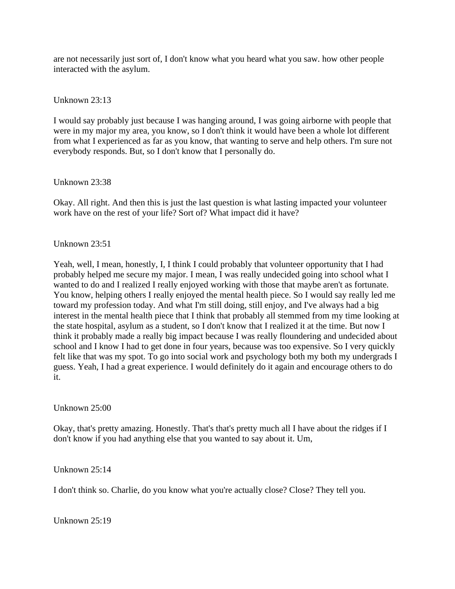are not necessarily just sort of, I don't know what you heard what you saw. how other people interacted with the asylum.

Unknown 23:13

I would say probably just because I was hanging around, I was going airborne with people that were in my major my area, you know, so I don't think it would have been a whole lot different from what I experienced as far as you know, that wanting to serve and help others. I'm sure not everybody responds. But, so I don't know that I personally do.

Unknown 23:38

Okay. All right. And then this is just the last question is what lasting impacted your volunteer work have on the rest of your life? Sort of? What impact did it have?

Unknown 23:51

Yeah, well, I mean, honestly, I, I think I could probably that volunteer opportunity that I had probably helped me secure my major. I mean, I was really undecided going into school what I wanted to do and I realized I really enjoyed working with those that maybe aren't as fortunate. You know, helping others I really enjoyed the mental health piece. So I would say really led me toward my profession today. And what I'm still doing, still enjoy, and I've always had a big interest in the mental health piece that I think that probably all stemmed from my time looking at the state hospital, asylum as a student, so I don't know that I realized it at the time. But now I think it probably made a really big impact because I was really floundering and undecided about school and I know I had to get done in four years, because was too expensive. So I very quickly felt like that was my spot. To go into social work and psychology both my both my undergrads I guess. Yeah, I had a great experience. I would definitely do it again and encourage others to do it.

Unknown 25:00

Okay, that's pretty amazing. Honestly. That's that's pretty much all I have about the ridges if I don't know if you had anything else that you wanted to say about it. Um,

Unknown 25:14

I don't think so. Charlie, do you know what you're actually close? Close? They tell you.

Unknown 25:19